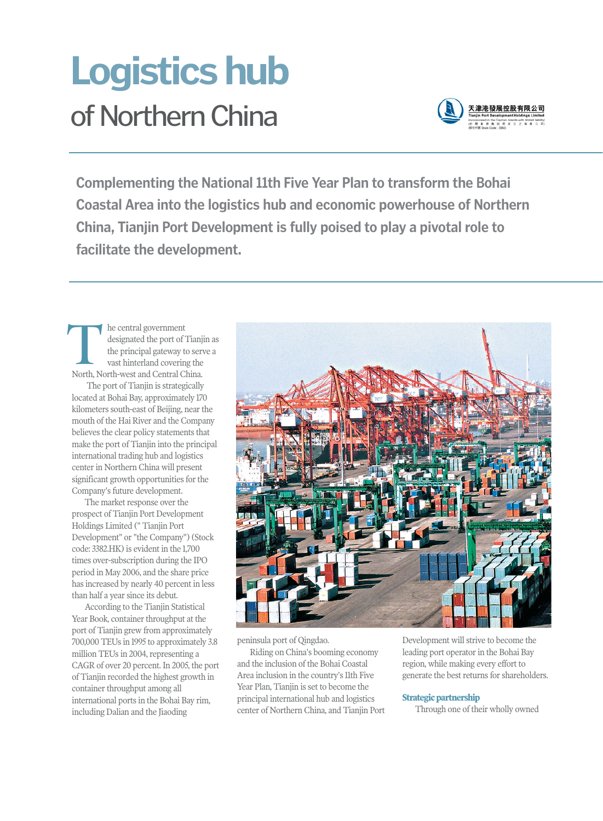# of Northern China **Logistics hub**



**Complementing the National 11th Five Year Plan to transform the Bohai Coastal Area into the logistics hub and economic powerhouse of Northern China, Tianjin Port Development is fully poised to play a pivotal role to facilitate the development.** 

he central government designated the port of Tianjin as the principal gateway to serve a vast hinterland covering the International designated the port of Tian<br>
International gateway to servast hinterland covering the<br>
North, North-west and Central China.

The port of Tianjin is strategically located at Bohai Bay, approximately 170 kilometers south-east of Beijing, near the mouth of the Hai River and the Company believes the clear policy statements that make the port of Tianjin into the principal international trading hub and logistics center in Northern China will present significant growth opportunities for the Company's future development.

The market response over the prospect of Tianjin Port Development Holdings Limited (" Tianjin Port Development" or "the Company") (Stock code: 3382.HK) is evident in the 1,700 times over-subscription during the IPO period in May 2006, and the share price has increased by nearly 40 percent in less than half a year since its debut.

According to the Tianjin Statistical Year Book, container throughput at the port of Tianjin grew from approximately 700,000 TEUs in 1995 to approximately 3.8 million TEUs in 2004, representing a CAGR of over 20 percent. In 2005, the port of Tianjin recorded the highest growth in container throughput among all international ports in the Bohai Bay rim, including Dalian and the Jiaoding



peninsula port of Qingdao.

Riding on China's booming economy and the inclusion of the Bohai Coastal Area inclusion in the country's 11th Five Year Plan, Tianjin is set to become the principal international hub and logistics center of Northern China, and Tianjin Port Development will strive to become the leading port operator in the Bohai Bay region, while making every effort to generate the best returns for shareholders.

### **Strategic partnership**

Through one of their wholly owned